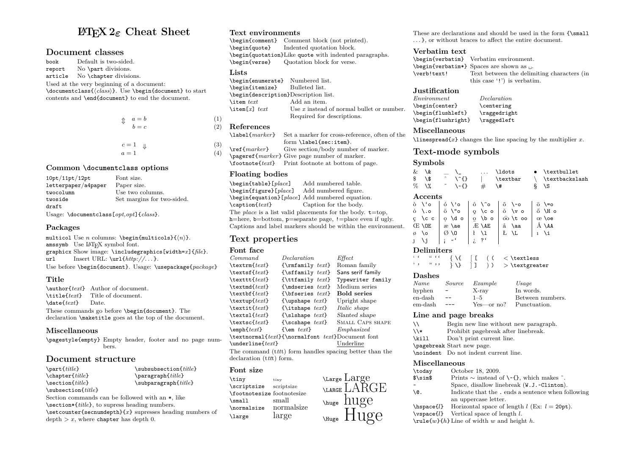# **LATEX 2***ε* **Cheat Sheet**

# **Document classes**

book Default is two-sided.<br>report. No \part divisions. No **\part** divisions. article No \chapter divisions. Used at the very beginning of a document: \documentclass{ $\{class\}$ }. Use \begin{document} to start contents and \end{document} to end the document.

| $a = b$<br>$\hat{\mathbb{I}}$<br>$b=c$ | (1)<br>(2) |
|----------------------------------------|------------|
| $c=1$ $\downarrow$                     | (3)        |
| $a=1$                                  | (4)        |

### **Common \documentclass options**

| 10pt/11pt/12pt                                    | Font size.                 |
|---------------------------------------------------|----------------------------|
| ${\tt letterpaper/afpaper}$                       | Paper size.                |
| twocolumn                                         | Use two columns.           |
| twoside                                           | Set margins for two-sided. |
| draft                                             |                            |
| Usage: $\do$ cumentclass $[opt,opt]$ { $class$ }. |                            |

### **Packages**

multicol Use *n* columns:  $\begin{equation} {\alpha}{n}. \end{equation}$ amssymb Use LATEX symbol font. graphicx Show image: \includegraphics[width=*x*]{*file*}. url Insert URL:  $\url{http://...}.$ Use before \begin{document}. Usage: \usepackage{*package*}

# **Title**

\author{*text*} Author of document. \title{*text*} Title of document. \date{*text*} Date. These commands go before \begin{document}. The declaration \maketitle goes at the top of the document.

# **Miscellaneous**

\pagestyle{empty} Empty header, footer and no page numbers.

# **Document structure**

| $\text{part{title}}$                       |  |             | $\s$ ubsubsection{ <i>title</i> } |  |
|--------------------------------------------|--|-------------|-----------------------------------|--|
| $\text{chaper{title}}$                     |  | $\{title\}$ |                                   |  |
| $\setminus$ section $\{ \mathit{title} \}$ |  |             | $\sub$ subparagraph $\{title\}$   |  |
| $\verb \subsection{ }$                     |  |             |                                   |  |
|                                            |  |             |                                   |  |

Section commands can be followed with an \*, like \section\*{*title*}, to supress heading numbers. \setcounter{secnumdepth}{*x*} supresses heading numbers of  $depth > x$ , where chapter has depth 0.

### **Text environments**

\begin{comment} Comment block (not printed). Indented quotation block. \begin{quotation}Like quote with indented paragraphs. \begin{verse} Quotation block for verse.

#### **Lists**

| \begin{enumerate} Numbered list.     |                                             |
|--------------------------------------|---------------------------------------------|
| \begin{itemize} Bulleted list.       |                                             |
| \begin{description}Description list. |                                             |
| \item $text$                         | Add an item.                                |
| $\text{item}[x] text$                | Use $x$ instead of normal bullet or number. |
|                                      | Required for descriptions.                  |
|                                      |                                             |

#### **References**

|  | \label{marker} Set a marker for cross-reference, often of the |
|--|---------------------------------------------------------------|
|  | form \label{sec:item}.                                        |
|  | $\ref{marker}$ Give section/body number of marker.            |
|  | $\text{paper}$ Give page number of marker.                    |
|  | \footnote{text} Print footnote at bottom of page.             |
|  |                                                               |

### **Floating bodies**

\begin{table}[*place*] Add numbered table.  $\begin{bmatrix} \text{figure} \\ \text{place} \end{bmatrix}$ \begin{equation}[*place*] Add numbered equation. \caption{*text*} Caption for the body. The *place* is a list valid placements for the body.  $t = \text{top}$ . h=here, b=bottom,  $p$ =separate page, !=place even if ugly. Captions and label markers should be within the environment.

# **Text properties**

#### **Font face**

| Command                          | <i>Declaration</i>                              | ${\it Effect}$                                          |
|----------------------------------|-------------------------------------------------|---------------------------------------------------------|
| $\text{textf}$                   | ${\rm family \textit{text}}$                    | Roman family                                            |
| \textsf $\{text\}$               | $\{\setminus \text{stfamily } text\}$           | Sans serif family                                       |
| $\texttt{text}$                  | $\{\text{ttfamily } text\}$                     | Typewriter family                                       |
| $\texttt{text}$                  | ${\mathcal{S}}$                                 | Medium series                                           |
| \textbf $\{text\}$               | {\bfseries $text$ }                             | <b>Bold series</b>                                      |
| $\text{textp}$                   | {\upshape $text$ }                              | Upright shape                                           |
| $\texttt{text}$                  | {\itshape $text$ }                              | <i>Italic shape</i>                                     |
| $\texttt{text}$                  | $\{\s$ 1shape $text\}$                          | Slanted shape                                           |
| $\texttt{text}$                  | $\{\s$ cshape $text\}$                          | <b>SMALL CAPS SHAPE</b>                                 |
| $\text{empty}$                   | $\{\text{sem } text\}$                          | Emphasized                                              |
|                                  | $\texttt{text}$ {\normalfont text}Document font |                                                         |
| $\text{underline{text}$          |                                                 | Underline                                               |
|                                  |                                                 | The command (tttt) form handles spacing better than the |
| declaration ( <i>ttt</i> ) form. |                                                 |                                                         |

# **Font size**

 $\{\text{tiny}\}$  tiny<br>\scriptsize scriptsize  $\simeq$ \footnotesize footnotesize  $\sum_{\text{small}}$ \normalsize normalsize \large large



These are declarations and should be used in the form  ${\sum}$ . . . }, or without braces to affect the entire document.

#### **Verbatim text**

\begin{verbatim} Verbatim environment.  $\begin{bmatrix} \begin{array}{c} \begin{array}{c} \text{best} \\ \text{array} \end{array} \end{bmatrix}$  Spaces are shown as  $\cup$ . Text between the delimiting characters (in this case '!') is verbatim.

#### **Justification**

| $\it Environment$  | Declaration  |
|--------------------|--------------|
| \begin{center}     | \centering   |
| \begin{flushleft}  | \raggedright |
| \begin{flushright} | \raggedleft  |

### **Miscellaneous**

 $\langle$ **linespread**{*x*} changes the line spacing by the multiplier *x*.

# **Text-mode symbols**

### **Symbols**

| & \&    |                | $\ldots$ \ldots | $\bullet$ \textbullet |
|---------|----------------|-----------------|-----------------------|
| \$\\$   | $\hat{ }$ \^{} | \textbar        | \ \textbackslash      |
| $\%$ \% | $\{\sim\}$     | \#              | $\S$ \S               |

#### **Accents**

|      |                                               | $\delta \setminus \circ$   $\delta \setminus \circ$   $\delta \setminus \circ$   $\delta \setminus \circ$   $\delta \setminus \circ$   $\delta \setminus \circ$                        |  |
|------|-----------------------------------------------|----------------------------------------------------------------------------------------------------------------------------------------------------------------------------------------|--|
|      |                                               | ό \.o   ö \"o   g \c o   ŏ \v o   ő \H o                                                                                                                                               |  |
|      |                                               | $\zeta$ \c c   o \d o   o \b o   oo \t oo   $\alpha$ \oe                                                                                                                               |  |
|      |                                               |                                                                                                                                                                                        |  |
| ø \o |                                               | $\left  \emptyset \setminus 0 \right $ $\left  \emptyset \setminus 1 \right $ $\left  \emptyset \setminus 1 \right $ $\left  \emptyset \setminus 1 \right $ $\left  \emptyset \right $ |  |
|      | $J \setminus j \mid i \cdot' \mid i \cdot$ ?' |                                                                                                                                                                                        |  |

#### **Delimiters**

| $\epsilon$ $\epsilon$ |  |  | $\{\ \mathcal{G} \mid \lbrack \ \mathcal{G} \ \vert \ \mathcal{G} \ \vert \ \mathcal{G} \ \vert \ \mathcal{G} \ \vert \ \mathcal{G} \ \vert \ \mathcal{G} \ \vert \ \mathcal{G} \ \vert \ \mathcal{G} \ \vert \ \mathcal{G} \ \vert \ \mathcal{G} \ \vert \ \mathcal{G} \ \vert \ \mathcal{G} \ \vert \ \mathcal{G} \ \vert \ \mathcal{G} \ \vert \ \mathcal{G} \ \vert \ \mathcal{G} \ \vert \ \mathcal{G} \ \vert \ \mathcal{G} \ \vert \ \mathcal{G} \ \vert \ \mathcal{G} \ \vert \ \mathcal{G$ |
|-----------------------|--|--|-----------------------------------------------------------------------------------------------------------------------------------------------------------------------------------------------------------------------------------------------------------------------------------------------------------------------------------------------------------------------------------------------------------------------------------------------------------------------------------------------------|
|                       |  |  | $\{\ \} \ \   \ \   \ \ ) \ \ > \ \text{terstgreater}$                                                                                                                                                                                                                                                                                                                                                                                                                                              |

#### **Dashes**

| Name                    | Source | Example    | Usage            |
|-------------------------|--------|------------|------------------|
| hyphen                  |        | X-ray      | In words.        |
| en-dash                 |        | $1 - 5$    | Between numbers. |
| $_{\rm em\text{-}dash}$ | $---$  | Yes—or no? | Punctuation.     |

#### **Line and page breaks**

| $\lambda$ | Begin new line without new paragraph. |
|-----------|---------------------------------------|
| $\lambda$ | Prohibit pagebreak after linebreak.   |
| \kill     | Don't print current line.             |
|           | \pagebreak Start new page.            |
|           | \noindent Do not indent current line. |
|           |                                       |

### **Miscellaneous**

| \today                                         | October 18, 2009.                                                       |  |  |  |
|------------------------------------------------|-------------------------------------------------------------------------|--|--|--|
| $\sim$                                         | Prints $\sim$ instead of $\setminus \{ \}$ , which makes $\tilde{\ }$ . |  |  |  |
|                                                | Space, disallow linebreak (W.J.~Clinton).                               |  |  |  |
| <b>\@.</b>                                     | Indicate that the . ends a sentence when following                      |  |  |  |
|                                                | an uppercase letter.                                                    |  |  |  |
|                                                | $\hbox{\texttt{b}$ Horizontal space of length $l$ (Ex: $l = 20pt$ ).    |  |  |  |
|                                                | $\varepsilon_{l}$ Vertical space of length l.                           |  |  |  |
| $\mathcal{w}{h}$ Line of width w and height h. |                                                                         |  |  |  |